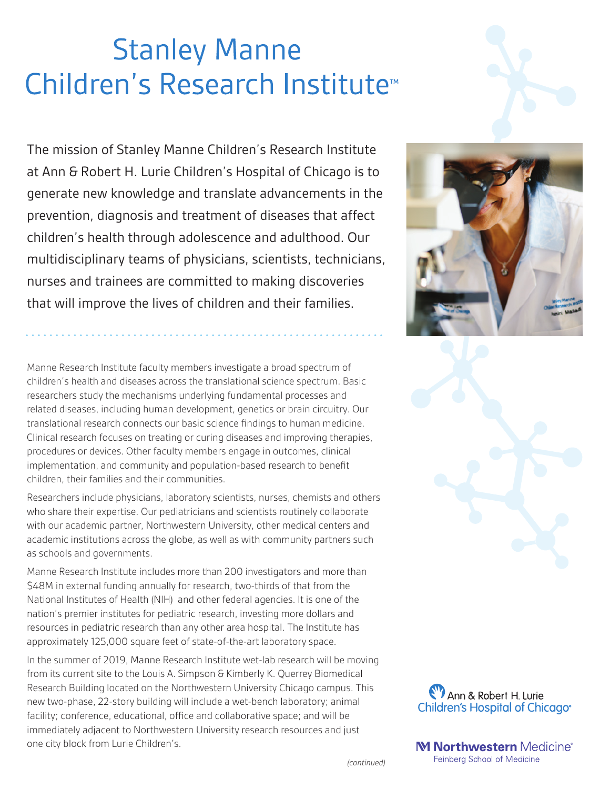# **Stanley Manne** Children's Research Institute<sup>™</sup>

The mission of Stanley Manne Children's Research Institute at Ann & Robert H. Lurie Children's Hospital of Chicago is to generate new knowledge and translate advancements in the prevention, diagnosis and treatment of diseases that affect children's health through adolescence and adulthood. Our multidisciplinary teams of physicians, scientists, technicians, nurses and trainees are committed to making discoveries that will improve the lives of children and their families.

Manne Research Institute faculty members investigate a broad spectrum of children's health and diseases across the translational science spectrum. Basic researchers study the mechanisms underlying fundamental processes and related diseases, including human development, genetics or brain circuitry. Our translational research connects our basic science findings to human medicine. Clinical research focuses on treating or curing diseases and improving therapies, procedures or devices. Other faculty members engage in outcomes, clinical implementation, and community and population-based research to benefit children, their families and their communities.

Researchers include physicians, laboratory scientists, nurses, chemists and others who share their expertise. Our pediatricians and scientists routinely collaborate with our academic partner, Northwestern University, other medical centers and academic institutions across the globe, as well as with community partners such as schools and governments.

Manne Research Institute includes more than 200 investigators and more than \$48M in external funding annually for research, two-thirds of that from the National Institutes of Health (NIH) and other federal agencies. It is one of the nation's premier institutes for pediatric research, investing more dollars and resources in pediatric research than any other area hospital. The Institute has approximately 125,000 square feet of state-of-the-art laboratory space.

In the summer of 2019, Manne Research Institute wet-lab research will be moving from its current site to the Louis A. Simpson & Kimberly K. Querrey Biomedical Research Building located on the Northwestern University Chicago campus. This new two-phase, 22-story building will include a wet-bench laboratory; animal facility; conference, educational, office and collaborative space; and will be immediately adjacent to Northwestern University research resources and just one city block from Lurie Children's.





M Northwestern Medicine® Feinberg School of Medicine